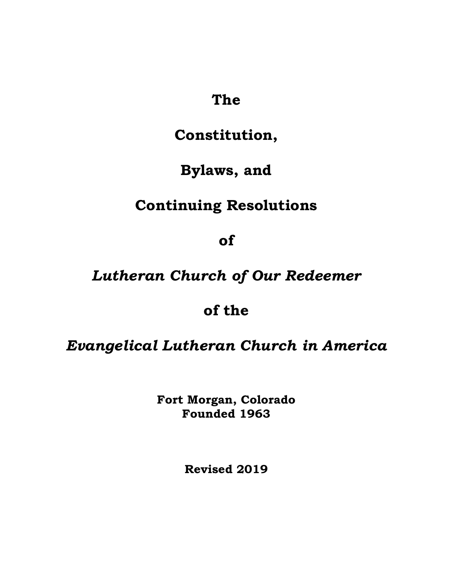## **The**

# **Constitution,**

# **Bylaws, and**

# **Continuing Resolutions**

**of**

# *Lutheran Church of Our Redeemer*

## **of the**

## *Evangelical Lutheran Church in America*

**Fort Morgan, Colorado Founded 1963**

**Revised 2019**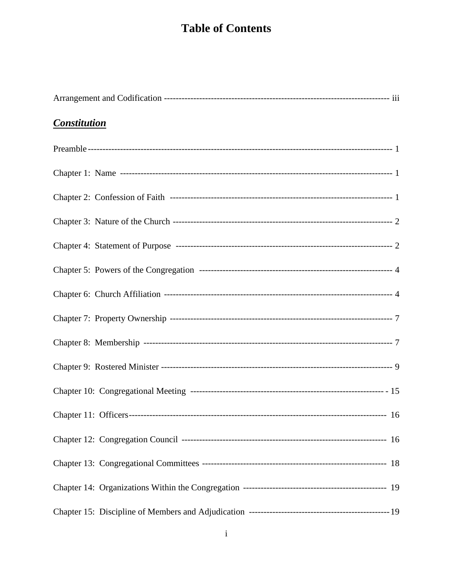## **Table of Contents**

| <b>Constitution</b> |  |
|---------------------|--|
|                     |  |
|                     |  |
|                     |  |
|                     |  |
|                     |  |
|                     |  |
|                     |  |
|                     |  |
|                     |  |
|                     |  |
|                     |  |
|                     |  |
|                     |  |
|                     |  |
|                     |  |
|                     |  |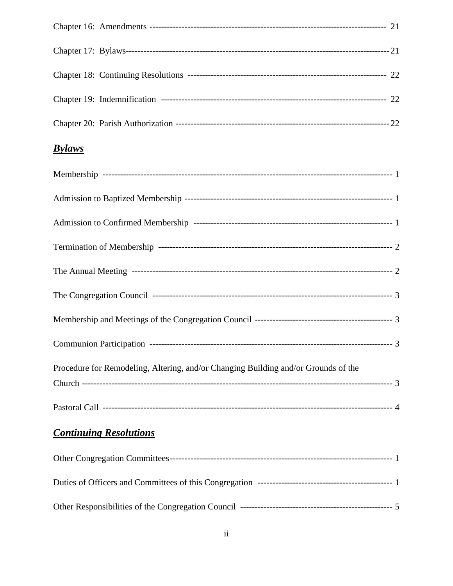| <b>Bylaws</b> |  |
|---------------|--|
|               |  |
|               |  |
|               |  |
|               |  |

| Procedure for Remodeling, Altering, and/or Changing Building and/or Grounds of the |  |
|------------------------------------------------------------------------------------|--|
|                                                                                    |  |
|                                                                                    |  |

## **Continuing Resolutions**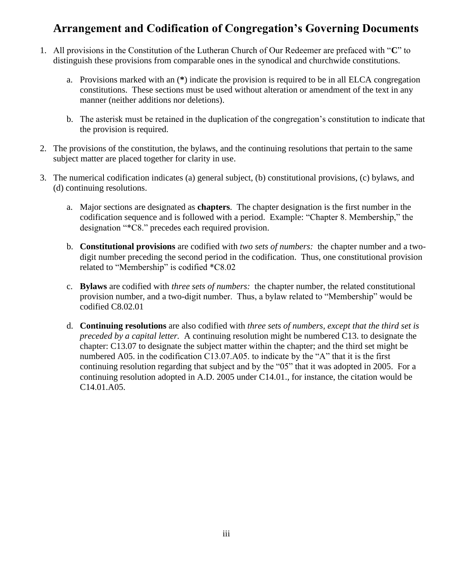### **Arrangement and Codification of Congregation's Governing Documents**

- 1. All provisions in the Constitution of the Lutheran Church of Our Redeemer are prefaced with "**C**" to distinguish these provisions from comparable ones in the synodical and churchwide constitutions.
	- a. Provisions marked with an (**\***) indicate the provision is required to be in all ELCA congregation constitutions. These sections must be used without alteration or amendment of the text in any manner (neither additions nor deletions).
	- b. The asterisk must be retained in the duplication of the congregation's constitution to indicate that the provision is required.
- 2. The provisions of the constitution, the bylaws, and the continuing resolutions that pertain to the same subject matter are placed together for clarity in use.
- 3. The numerical codification indicates (a) general subject, (b) constitutional provisions, (c) bylaws, and (d) continuing resolutions.
	- a. Major sections are designated as **chapters**. The chapter designation is the first number in the codification sequence and is followed with a period. Example: "Chapter 8. Membership," the designation "\*C8." precedes each required provision.
	- b. **Constitutional provisions** are codified with *two sets of numbers:* the chapter number and a twodigit number preceding the second period in the codification. Thus, one constitutional provision related to "Membership" is codified \*C8.02
	- c. **Bylaws** are codified with *three sets of numbers:* the chapter number, the related constitutional provision number, and a two-digit number. Thus, a bylaw related to "Membership" would be codified C8.02.01
	- d. **Continuing resolutions** are also codified with *three sets of numbers, except that the third set is preceded by a capital letter.* A continuing resolution might be numbered C13. to designate the chapter: C13.07 to designate the subject matter within the chapter; and the third set might be numbered A05. in the codification C13.07.A05. to indicate by the "A" that it is the first continuing resolution regarding that subject and by the "05" that it was adopted in 2005. For a continuing resolution adopted in A.D. 2005 under C14.01., for instance, the citation would be C14.01.A05.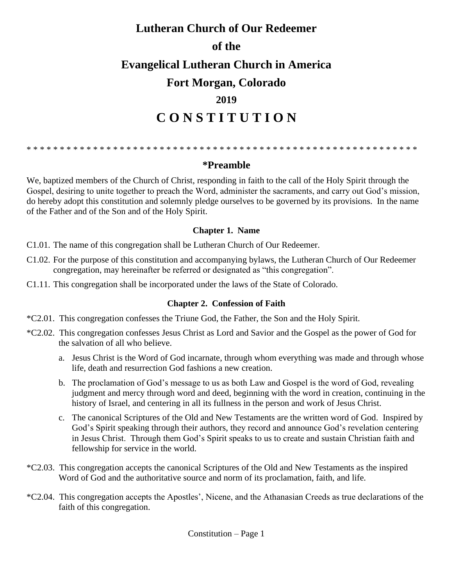# **Lutheran Church of Our Redeemer of the Evangelical Lutheran Church in America Fort Morgan, Colorado 2019 C O N S T I T U T I O N**

\* \* \* \* \* \* \* \* \* \* \* \* \* \* \* \* \* \* \* \* \* \* \* \* \* \* \* \* \* \* \* \* \* \* \* \* \* \* \* \* \* \* \* \* \* \* \* \* \* \* \* \* \* \* \* \* \* \* \*

#### **\*Preamble**

We, baptized members of the Church of Christ, responding in faith to the call of the Holy Spirit through the Gospel, desiring to unite together to preach the Word, administer the sacraments, and carry out God's mission, do hereby adopt this constitution and solemnly pledge ourselves to be governed by its provisions. In the name of the Father and of the Son and of the Holy Spirit.

#### **Chapter 1. Name**

- C1.01. The name of this congregation shall be Lutheran Church of Our Redeemer.
- C1.02. For the purpose of this constitution and accompanying bylaws, the Lutheran Church of Our Redeemer congregation, may hereinafter be referred or designated as "this congregation".
- C1.11. This congregation shall be incorporated under the laws of the State of Colorado.

#### **Chapter 2. Confession of Faith**

- \*C2.01. This congregation confesses the Triune God, the Father, the Son and the Holy Spirit.
- \*C2.02. This congregation confesses Jesus Christ as Lord and Savior and the Gospel as the power of God for the salvation of all who believe.
	- a. Jesus Christ is the Word of God incarnate, through whom everything was made and through whose life, death and resurrection God fashions a new creation.
	- b. The proclamation of God's message to us as both Law and Gospel is the word of God, revealing judgment and mercy through word and deed, beginning with the word in creation, continuing in the history of Israel, and centering in all its fullness in the person and work of Jesus Christ.
	- c. The canonical Scriptures of the Old and New Testaments are the written word of God. Inspired by God's Spirit speaking through their authors, they record and announce God's revelation centering in Jesus Christ. Through them God's Spirit speaks to us to create and sustain Christian faith and fellowship for service in the world.
- \*C2.03. This congregation accepts the canonical Scriptures of the Old and New Testaments as the inspired Word of God and the authoritative source and norm of its proclamation, faith, and life.
- \*C2.04. This congregation accepts the Apostles', Nicene, and the Athanasian Creeds as true declarations of the faith of this congregation.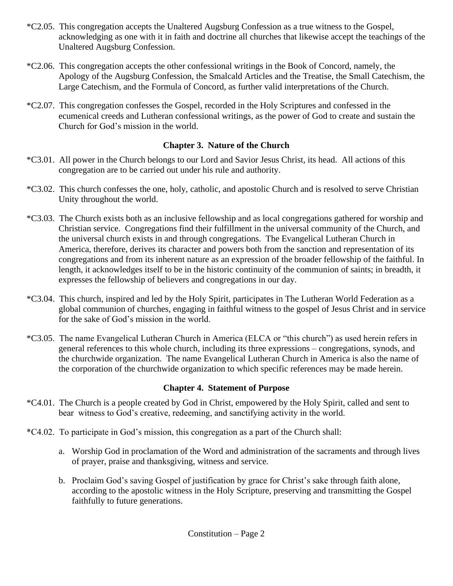- \*C2.05. This congregation accepts the Unaltered Augsburg Confession as a true witness to the Gospel, acknowledging as one with it in faith and doctrine all churches that likewise accept the teachings of the Unaltered Augsburg Confession.
- \*C2.06. This congregation accepts the other confessional writings in the Book of Concord, namely, the Apology of the Augsburg Confession, the Smalcald Articles and the Treatise, the Small Catechism, the Large Catechism, and the Formula of Concord, as further valid interpretations of the Church.
- \*C2.07. This congregation confesses the Gospel, recorded in the Holy Scriptures and confessed in the ecumenical creeds and Lutheran confessional writings, as the power of God to create and sustain the Church for God's mission in the world.

#### **Chapter 3. Nature of the Church**

- \*C3.01. All power in the Church belongs to our Lord and Savior Jesus Christ, its head. All actions of this congregation are to be carried out under his rule and authority.
- \*C3.02. This church confesses the one, holy, catholic, and apostolic Church and is resolved to serve Christian Unity throughout the world.
- \*C3.03. The Church exists both as an inclusive fellowship and as local congregations gathered for worship and Christian service. Congregations find their fulfillment in the universal community of the Church, and the universal church exists in and through congregations. The Evangelical Lutheran Church in America, therefore, derives its character and powers both from the sanction and representation of its congregations and from its inherent nature as an expression of the broader fellowship of the faithful. In length, it acknowledges itself to be in the historic continuity of the communion of saints; in breadth, it expresses the fellowship of believers and congregations in our day.
- \*C3.04. This church, inspired and led by the Holy Spirit, participates in The Lutheran World Federation as a global communion of churches, engaging in faithful witness to the gospel of Jesus Christ and in service for the sake of God's mission in the world.
- \*C3.05. The name Evangelical Lutheran Church in America (ELCA or "this church") as used herein refers in general references to this whole church, including its three expressions – congregations, synods, and the churchwide organization. The name Evangelical Lutheran Church in America is also the name of the corporation of the churchwide organization to which specific references may be made herein.

#### **Chapter 4. Statement of Purpose**

- \*C4.01. The Church is a people created by God in Christ, empowered by the Holy Spirit, called and sent to bear witness to God's creative, redeeming, and sanctifying activity in the world.
- \*C4.02. To participate in God's mission, this congregation as a part of the Church shall:
	- a. Worship God in proclamation of the Word and administration of the sacraments and through lives of prayer, praise and thanksgiving, witness and service.
	- b. Proclaim God's saving Gospel of justification by grace for Christ's sake through faith alone, according to the apostolic witness in the Holy Scripture, preserving and transmitting the Gospel faithfully to future generations.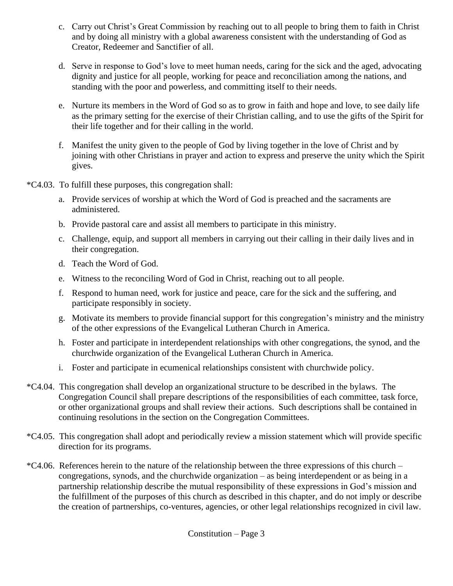- c. Carry out Christ's Great Commission by reaching out to all people to bring them to faith in Christ and by doing all ministry with a global awareness consistent with the understanding of God as Creator, Redeemer and Sanctifier of all.
- d. Serve in response to God's love to meet human needs, caring for the sick and the aged, advocating dignity and justice for all people, working for peace and reconciliation among the nations, and standing with the poor and powerless, and committing itself to their needs.
- e. Nurture its members in the Word of God so as to grow in faith and hope and love, to see daily life as the primary setting for the exercise of their Christian calling, and to use the gifts of the Spirit for their life together and for their calling in the world.
- f. Manifest the unity given to the people of God by living together in the love of Christ and by joining with other Christians in prayer and action to express and preserve the unity which the Spirit gives.
- \*C4.03. To fulfill these purposes, this congregation shall:
	- a. Provide services of worship at which the Word of God is preached and the sacraments are administered.
	- b. Provide pastoral care and assist all members to participate in this ministry.
	- c. Challenge, equip, and support all members in carrying out their calling in their daily lives and in their congregation.
	- d. Teach the Word of God.
	- e. Witness to the reconciling Word of God in Christ, reaching out to all people.
	- f. Respond to human need, work for justice and peace, care for the sick and the suffering, and participate responsibly in society.
	- g. Motivate its members to provide financial support for this congregation's ministry and the ministry of the other expressions of the Evangelical Lutheran Church in America.
	- h. Foster and participate in interdependent relationships with other congregations, the synod, and the churchwide organization of the Evangelical Lutheran Church in America.
	- i. Foster and participate in ecumenical relationships consistent with churchwide policy.
- \*C4.04. This congregation shall develop an organizational structure to be described in the bylaws. The Congregation Council shall prepare descriptions of the responsibilities of each committee, task force, or other organizational groups and shall review their actions. Such descriptions shall be contained in continuing resolutions in the section on the Congregation Committees.
- \*C4.05. This congregation shall adopt and periodically review a mission statement which will provide specific direction for its programs.
- \*C4.06. References herein to the nature of the relationship between the three expressions of this church congregations, synods, and the churchwide organization – as being interdependent or as being in a partnership relationship describe the mutual responsibility of these expressions in God's mission and the fulfillment of the purposes of this church as described in this chapter, and do not imply or describe the creation of partnerships, co-ventures, agencies, or other legal relationships recognized in civil law.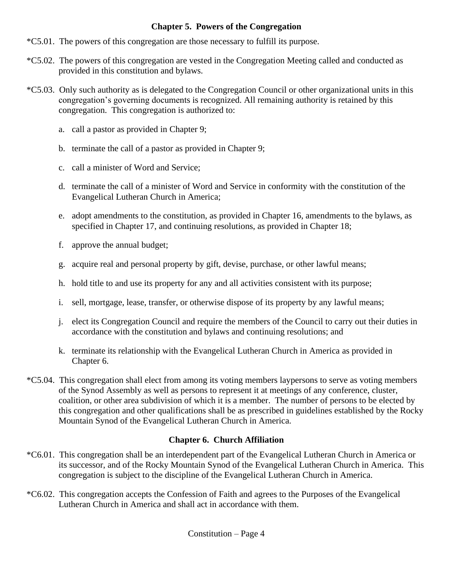#### **Chapter 5. Powers of the Congregation**

- \*C5.01. The powers of this congregation are those necessary to fulfill its purpose.
- \*C5.02. The powers of this congregation are vested in the Congregation Meeting called and conducted as provided in this constitution and bylaws.
- \*C5.03. Only such authority as is delegated to the Congregation Council or other organizational units in this congregation's governing documents is recognized. All remaining authority is retained by this congregation. This congregation is authorized to:
	- a. call a pastor as provided in Chapter 9;
	- b. terminate the call of a pastor as provided in Chapter 9;
	- c. call a minister of Word and Service;
	- d. terminate the call of a minister of Word and Service in conformity with the constitution of the Evangelical Lutheran Church in America;
	- e. adopt amendments to the constitution, as provided in Chapter 16, amendments to the bylaws, as specified in Chapter 17, and continuing resolutions, as provided in Chapter 18;
	- f. approve the annual budget;
	- g. acquire real and personal property by gift, devise, purchase, or other lawful means;
	- h. hold title to and use its property for any and all activities consistent with its purpose;
	- i. sell, mortgage, lease, transfer, or otherwise dispose of its property by any lawful means;
	- j. elect its Congregation Council and require the members of the Council to carry out their duties in accordance with the constitution and bylaws and continuing resolutions; and
	- k. terminate its relationship with the Evangelical Lutheran Church in America as provided in Chapter 6.
- \*C5.04. This congregation shall elect from among its voting members laypersons to serve as voting members of the Synod Assembly as well as persons to represent it at meetings of any conference, cluster, coalition, or other area subdivision of which it is a member. The number of persons to be elected by this congregation and other qualifications shall be as prescribed in guidelines established by the Rocky Mountain Synod of the Evangelical Lutheran Church in America.

### **Chapter 6. Church Affiliation**

- \*C6.01. This congregation shall be an interdependent part of the Evangelical Lutheran Church in America or its successor, and of the Rocky Mountain Synod of the Evangelical Lutheran Church in America. This congregation is subject to the discipline of the Evangelical Lutheran Church in America.
- \*C6.02. This congregation accepts the Confession of Faith and agrees to the Purposes of the Evangelical Lutheran Church in America and shall act in accordance with them.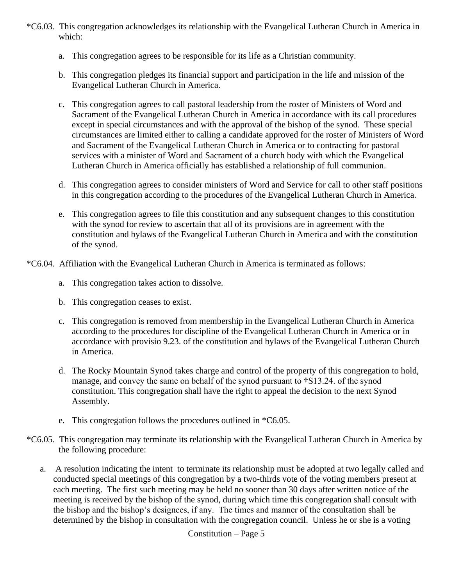- \*C6.03. This congregation acknowledges its relationship with the Evangelical Lutheran Church in America in which:
	- a. This congregation agrees to be responsible for its life as a Christian community.
	- b. This congregation pledges its financial support and participation in the life and mission of the Evangelical Lutheran Church in America.
	- c. This congregation agrees to call pastoral leadership from the roster of Ministers of Word and Sacrament of the Evangelical Lutheran Church in America in accordance with its call procedures except in special circumstances and with the approval of the bishop of the synod. These special circumstances are limited either to calling a candidate approved for the roster of Ministers of Word and Sacrament of the Evangelical Lutheran Church in America or to contracting for pastoral services with a minister of Word and Sacrament of a church body with which the Evangelical Lutheran Church in America officially has established a relationship of full communion.
	- d. This congregation agrees to consider ministers of Word and Service for call to other staff positions in this congregation according to the procedures of the Evangelical Lutheran Church in America.
	- e. This congregation agrees to file this constitution and any subsequent changes to this constitution with the synod for review to ascertain that all of its provisions are in agreement with the constitution and bylaws of the Evangelical Lutheran Church in America and with the constitution of the synod.
- \*C6.04. Affiliation with the Evangelical Lutheran Church in America is terminated as follows:
	- a. This congregation takes action to dissolve.
	- b. This congregation ceases to exist.
	- c. This congregation is removed from membership in the Evangelical Lutheran Church in America according to the procedures for discipline of the Evangelical Lutheran Church in America or in accordance with provisio 9.23. of the constitution and bylaws of the Evangelical Lutheran Church in America.
	- d. The Rocky Mountain Synod takes charge and control of the property of this congregation to hold, manage, and convey the same on behalf of the synod pursuant to †S13.24. of the synod constitution. This congregation shall have the right to appeal the decision to the next Synod Assembly.
	- e. This congregation follows the procedures outlined in \*C6.05.
- \*C6.05. This congregation may terminate its relationship with the Evangelical Lutheran Church in America by the following procedure:
	- a. A resolution indicating the intent to terminate its relationship must be adopted at two legally called and conducted special meetings of this congregation by a two-thirds vote of the voting members present at each meeting. The first such meeting may be held no sooner than 30 days after written notice of the meeting is received by the bishop of the synod, during which time this congregation shall consult with the bishop and the bishop's designees, if any. The times and manner of the consultation shall be determined by the bishop in consultation with the congregation council. Unless he or she is a voting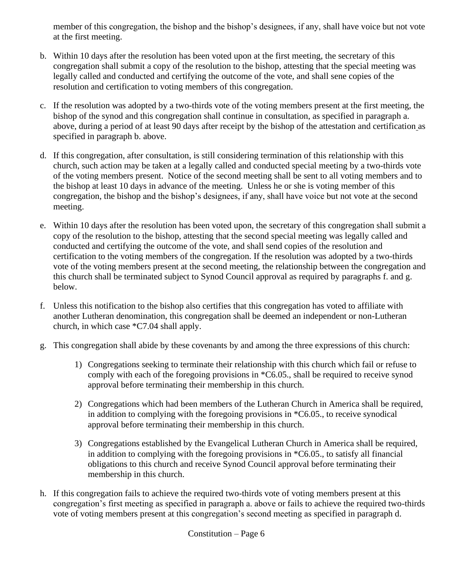member of this congregation, the bishop and the bishop's designees, if any, shall have voice but not vote at the first meeting.

- b. Within 10 days after the resolution has been voted upon at the first meeting, the secretary of this congregation shall submit a copy of the resolution to the bishop, attesting that the special meeting was legally called and conducted and certifying the outcome of the vote, and shall sene copies of the resolution and certification to voting members of this congregation.
- c. If the resolution was adopted by a two-thirds vote of the voting members present at the first meeting, the bishop of the synod and this congregation shall continue in consultation, as specified in paragraph a. above, during a period of at least 90 days after receipt by the bishop of the attestation and certification as specified in paragraph b. above.
- d. If this congregation, after consultation, is still considering termination of this relationship with this church, such action may be taken at a legally called and conducted special meeting by a two-thirds vote of the voting members present. Notice of the second meeting shall be sent to all voting members and to the bishop at least 10 days in advance of the meeting. Unless he or she is voting member of this congregation, the bishop and the bishop's designees, if any, shall have voice but not vote at the second meeting.
- e. Within 10 days after the resolution has been voted upon, the secretary of this congregation shall submit a copy of the resolution to the bishop, attesting that the second special meeting was legally called and conducted and certifying the outcome of the vote, and shall send copies of the resolution and certification to the voting members of the congregation. If the resolution was adopted by a two-thirds vote of the voting members present at the second meeting, the relationship between the congregation and this church shall be terminated subject to Synod Council approval as required by paragraphs f. and g. below.
- f. Unless this notification to the bishop also certifies that this congregation has voted to affiliate with another Lutheran denomination, this congregation shall be deemed an independent or non-Lutheran church, in which case \*C7.04 shall apply.
- g. This congregation shall abide by these covenants by and among the three expressions of this church:
	- 1) Congregations seeking to terminate their relationship with this church which fail or refuse to comply with each of the foregoing provisions in \*C6.05., shall be required to receive synod approval before terminating their membership in this church.
	- 2) Congregations which had been members of the Lutheran Church in America shall be required, in addition to complying with the foregoing provisions in \*C6.05., to receive synodical approval before terminating their membership in this church.
	- 3) Congregations established by the Evangelical Lutheran Church in America shall be required, in addition to complying with the foregoing provisions in \*C6.05., to satisfy all financial obligations to this church and receive Synod Council approval before terminating their membership in this church.
- h. If this congregation fails to achieve the required two-thirds vote of voting members present at this congregation's first meeting as specified in paragraph a. above or fails to achieve the required two-thirds vote of voting members present at this congregation's second meeting as specified in paragraph d.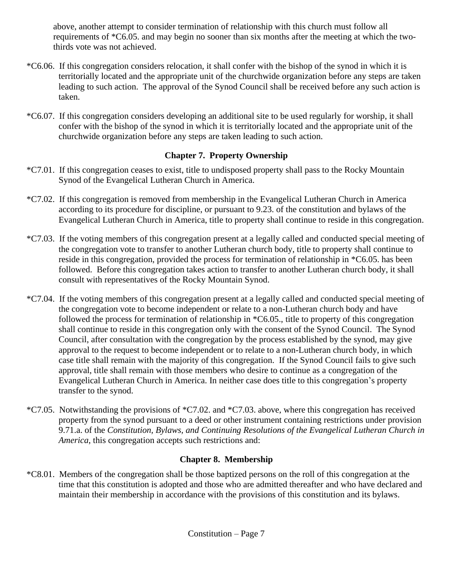above, another attempt to consider termination of relationship with this church must follow all requirements of \*C6.05. and may begin no sooner than six months after the meeting at which the twothirds vote was not achieved.

- \*C6.06. If this congregation considers relocation, it shall confer with the bishop of the synod in which it is territorially located and the appropriate unit of the churchwide organization before any steps are taken leading to such action. The approval of the Synod Council shall be received before any such action is taken.
- \*C6.07. If this congregation considers developing an additional site to be used regularly for worship, it shall confer with the bishop of the synod in which it is territorially located and the appropriate unit of the churchwide organization before any steps are taken leading to such action.

#### **Chapter 7. Property Ownership**

- \*C7.01. If this congregation ceases to exist, title to undisposed property shall pass to the Rocky Mountain Synod of the Evangelical Lutheran Church in America.
- \*C7.02. If this congregation is removed from membership in the Evangelical Lutheran Church in America according to its procedure for discipline, or pursuant to 9.23. of the constitution and bylaws of the Evangelical Lutheran Church in America, title to property shall continue to reside in this congregation.
- \*C7.03. If the voting members of this congregation present at a legally called and conducted special meeting of the congregation vote to transfer to another Lutheran church body, title to property shall continue to reside in this congregation, provided the process for termination of relationship in \*C6.05. has been followed. Before this congregation takes action to transfer to another Lutheran church body, it shall consult with representatives of the Rocky Mountain Synod.
- \*C7.04. If the voting members of this congregation present at a legally called and conducted special meeting of the congregation vote to become independent or relate to a non-Lutheran church body and have followed the process for termination of relationship in \*C6.05., title to property of this congregation shall continue to reside in this congregation only with the consent of the Synod Council. The Synod Council, after consultation with the congregation by the process established by the synod, may give approval to the request to become independent or to relate to a non-Lutheran church body, in which case title shall remain with the majority of this congregation. If the Synod Council fails to give such approval, title shall remain with those members who desire to continue as a congregation of the Evangelical Lutheran Church in America. In neither case does title to this congregation's property transfer to the synod.
- \*C7.05. Notwithstanding the provisions of \*C7.02. and \*C7.03. above, where this congregation has received property from the synod pursuant to a deed or other instrument containing restrictions under provision 9.71.a. of the *Constitution, Bylaws, and Continuing Resolutions of the Evangelical Lutheran Church in America*, this congregation accepts such restrictions and:

### **Chapter 8. Membership**

\*C8.01. Members of the congregation shall be those baptized persons on the roll of this congregation at the time that this constitution is adopted and those who are admitted thereafter and who have declared and maintain their membership in accordance with the provisions of this constitution and its bylaws.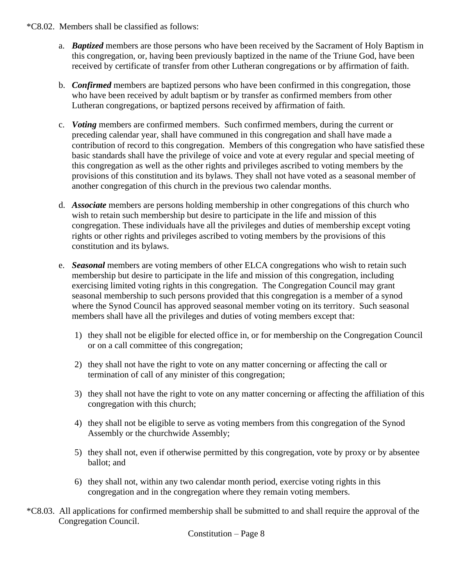- \*C8.02. Members shall be classified as follows:
	- a. *Baptized* members are those persons who have been received by the Sacrament of Holy Baptism in this congregation, or, having been previously baptized in the name of the Triune God, have been received by certificate of transfer from other Lutheran congregations or by affirmation of faith.
	- b. *Confirmed* members are baptized persons who have been confirmed in this congregation, those who have been received by adult baptism or by transfer as confirmed members from other Lutheran congregations, or baptized persons received by affirmation of faith.
	- c. *Voting* members are confirmed members. Such confirmed members, during the current or preceding calendar year, shall have communed in this congregation and shall have made a contribution of record to this congregation. Members of this congregation who have satisfied these basic standards shall have the privilege of voice and vote at every regular and special meeting of this congregation as well as the other rights and privileges ascribed to voting members by the provisions of this constitution and its bylaws. They shall not have voted as a seasonal member of another congregation of this church in the previous two calendar months.
	- d. *Associate* members are persons holding membership in other congregations of this church who wish to retain such membership but desire to participate in the life and mission of this congregation. These individuals have all the privileges and duties of membership except voting rights or other rights and privileges ascribed to voting members by the provisions of this constitution and its bylaws.
	- e. *Seasonal* members are voting members of other ELCA congregations who wish to retain such membership but desire to participate in the life and mission of this congregation, including exercising limited voting rights in this congregation. The Congregation Council may grant seasonal membership to such persons provided that this congregation is a member of a synod where the Synod Council has approved seasonal member voting on its territory. Such seasonal members shall have all the privileges and duties of voting members except that:
		- 1) they shall not be eligible for elected office in, or for membership on the Congregation Council or on a call committee of this congregation;
		- 2) they shall not have the right to vote on any matter concerning or affecting the call or termination of call of any minister of this congregation;
		- 3) they shall not have the right to vote on any matter concerning or affecting the affiliation of this congregation with this church;
		- 4) they shall not be eligible to serve as voting members from this congregation of the Synod Assembly or the churchwide Assembly;
		- 5) they shall not, even if otherwise permitted by this congregation, vote by proxy or by absentee ballot; and
		- 6) they shall not, within any two calendar month period, exercise voting rights in this congregation and in the congregation where they remain voting members.
- \*C8.03. All applications for confirmed membership shall be submitted to and shall require the approval of the Congregation Council.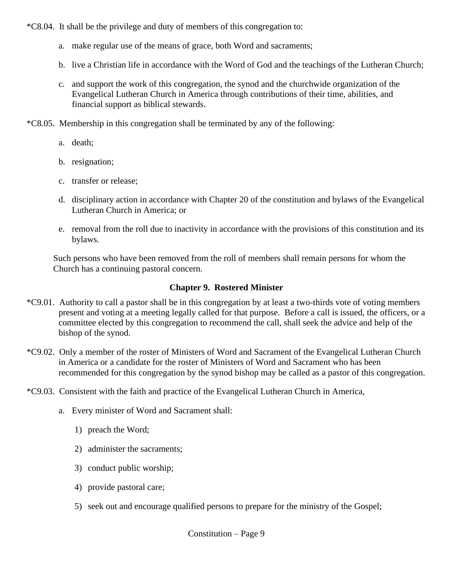\*C8.04. It shall be the privilege and duty of members of this congregation to:

- a. make regular use of the means of grace, both Word and sacraments;
- b. live a Christian life in accordance with the Word of God and the teachings of the Lutheran Church;
- c. and support the work of this congregation, the synod and the churchwide organization of the Evangelical Lutheran Church in America through contributions of their time, abilities, and financial support as biblical stewards.
- \*C8.05. Membership in this congregation shall be terminated by any of the following:
	- a. death;
	- b. resignation;
	- c. transfer or release;
	- d. disciplinary action in accordance with Chapter 20 of the constitution and bylaws of the Evangelical Lutheran Church in America; or
	- e. removal from the roll due to inactivity in accordance with the provisions of this constitution and its bylaws.

Such persons who have been removed from the roll of members shall remain persons for whom the Church has a continuing pastoral concern.

#### **Chapter 9. Rostered Minister**

- \*C9.01. Authority to call a pastor shall be in this congregation by at least a two-thirds vote of voting members present and voting at a meeting legally called for that purpose. Before a call is issued, the officers, or a committee elected by this congregation to recommend the call, shall seek the advice and help of the bishop of the synod.
- \*C9.02. Only a member of the roster of Ministers of Word and Sacrament of the Evangelical Lutheran Church in America or a candidate for the roster of Ministers of Word and Sacrament who has been recommended for this congregation by the synod bishop may be called as a pastor of this congregation.
- \*C9.03. Consistent with the faith and practice of the Evangelical Lutheran Church in America,
	- a. Every minister of Word and Sacrament shall:
		- 1) preach the Word;
		- 2) administer the sacraments;
		- 3) conduct public worship;
		- 4) provide pastoral care;
		- 5) seek out and encourage qualified persons to prepare for the ministry of the Gospel;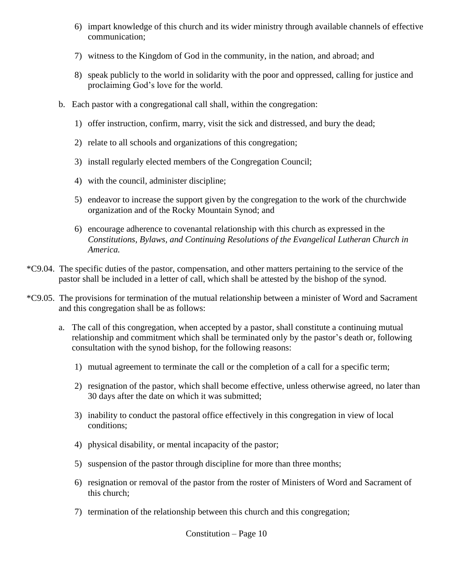- 6) impart knowledge of this church and its wider ministry through available channels of effective communication;
- 7) witness to the Kingdom of God in the community, in the nation, and abroad; and
- 8) speak publicly to the world in solidarity with the poor and oppressed, calling for justice and proclaiming God's love for the world.
- b. Each pastor with a congregational call shall, within the congregation:
	- 1) offer instruction, confirm, marry, visit the sick and distressed, and bury the dead;
	- 2) relate to all schools and organizations of this congregation;
	- 3) install regularly elected members of the Congregation Council;
	- 4) with the council, administer discipline;
	- 5) endeavor to increase the support given by the congregation to the work of the churchwide organization and of the Rocky Mountain Synod; and
	- 6) encourage adherence to covenantal relationship with this church as expressed in the *Constitutions, Bylaws, and Continuing Resolutions of the Evangelical Lutheran Church in America.*
- \*C9.04. The specific duties of the pastor, compensation, and other matters pertaining to the service of the pastor shall be included in a letter of call, which shall be attested by the bishop of the synod.
- \*C9.05. The provisions for termination of the mutual relationship between a minister of Word and Sacrament and this congregation shall be as follows:
	- a. The call of this congregation, when accepted by a pastor, shall constitute a continuing mutual relationship and commitment which shall be terminated only by the pastor's death or, following consultation with the synod bishop, for the following reasons:
		- 1) mutual agreement to terminate the call or the completion of a call for a specific term;
		- 2) resignation of the pastor, which shall become effective, unless otherwise agreed, no later than 30 days after the date on which it was submitted;
		- 3) inability to conduct the pastoral office effectively in this congregation in view of local conditions;
		- 4) physical disability, or mental incapacity of the pastor;
		- 5) suspension of the pastor through discipline for more than three months;
		- 6) resignation or removal of the pastor from the roster of Ministers of Word and Sacrament of this church;
		- 7) termination of the relationship between this church and this congregation;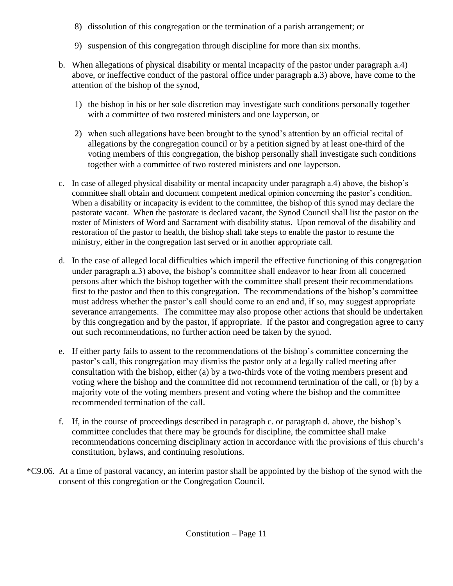- 8) dissolution of this congregation or the termination of a parish arrangement; or
- 9) suspension of this congregation through discipline for more than six months.
- b. When allegations of physical disability or mental incapacity of the pastor under paragraph a.4) above, or ineffective conduct of the pastoral office under paragraph a.3) above, have come to the attention of the bishop of the synod,
	- 1) the bishop in his or her sole discretion may investigate such conditions personally together with a committee of two rostered ministers and one layperson, or
	- 2) when such allegations have been brought to the synod's attention by an official recital of allegations by the congregation council or by a petition signed by at least one-third of the voting members of this congregation, the bishop personally shall investigate such conditions together with a committee of two rostered ministers and one layperson.
- c. In case of alleged physical disability or mental incapacity under paragraph a.4) above, the bishop's committee shall obtain and document competent medical opinion concerning the pastor's condition. When a disability or incapacity is evident to the committee, the bishop of this synod may declare the pastorate vacant. When the pastorate is declared vacant, the Synod Council shall list the pastor on the roster of Ministers of Word and Sacrament with disability status. Upon removal of the disability and restoration of the pastor to health, the bishop shall take steps to enable the pastor to resume the ministry, either in the congregation last served or in another appropriate call.
- d. In the case of alleged local difficulties which imperil the effective functioning of this congregation under paragraph a.3) above, the bishop's committee shall endeavor to hear from all concerned persons after which the bishop together with the committee shall present their recommendations first to the pastor and then to this congregation. The recommendations of the bishop's committee must address whether the pastor's call should come to an end and, if so, may suggest appropriate severance arrangements. The committee may also propose other actions that should be undertaken by this congregation and by the pastor, if appropriate. If the pastor and congregation agree to carry out such recommendations, no further action need be taken by the synod.
- e. If either party fails to assent to the recommendations of the bishop's committee concerning the pastor's call, this congregation may dismiss the pastor only at a legally called meeting after consultation with the bishop, either (a) by a two-thirds vote of the voting members present and voting where the bishop and the committee did not recommend termination of the call, or (b) by a majority vote of the voting members present and voting where the bishop and the committee recommended termination of the call.
- f. If, in the course of proceedings described in paragraph c. or paragraph d. above, the bishop's committee concludes that there may be grounds for discipline, the committee shall make recommendations concerning disciplinary action in accordance with the provisions of this church's constitution, bylaws, and continuing resolutions.
- \*C9.06. At a time of pastoral vacancy, an interim pastor shall be appointed by the bishop of the synod with the consent of this congregation or the Congregation Council.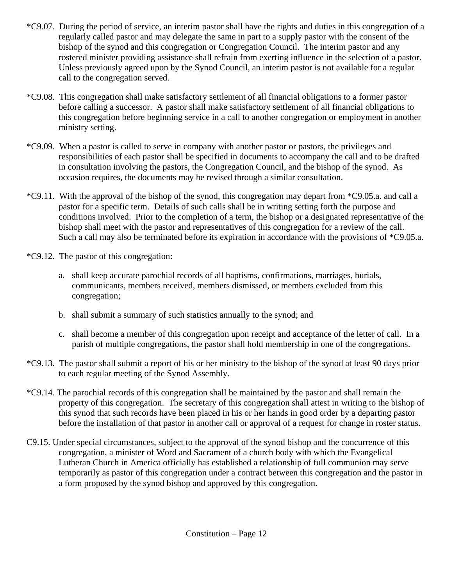- \*C9.07. During the period of service, an interim pastor shall have the rights and duties in this congregation of a regularly called pastor and may delegate the same in part to a supply pastor with the consent of the bishop of the synod and this congregation or Congregation Council. The interim pastor and any rostered minister providing assistance shall refrain from exerting influence in the selection of a pastor. Unless previously agreed upon by the Synod Council, an interim pastor is not available for a regular call to the congregation served.
- \*C9.08. This congregation shall make satisfactory settlement of all financial obligations to a former pastor before calling a successor. A pastor shall make satisfactory settlement of all financial obligations to this congregation before beginning service in a call to another congregation or employment in another ministry setting.
- \*C9.09. When a pastor is called to serve in company with another pastor or pastors, the privileges and responsibilities of each pastor shall be specified in documents to accompany the call and to be drafted in consultation involving the pastors, the Congregation Council, and the bishop of the synod. As occasion requires, the documents may be revised through a similar consultation.
- \*C9.11. With the approval of the bishop of the synod, this congregation may depart from \*C9.05.a. and call a pastor for a specific term. Details of such calls shall be in writing setting forth the purpose and conditions involved. Prior to the completion of a term, the bishop or a designated representative of the bishop shall meet with the pastor and representatives of this congregation for a review of the call. Such a call may also be terminated before its expiration in accordance with the provisions of \*C9.05.a.
- \*C9.12. The pastor of this congregation:
	- a. shall keep accurate parochial records of all baptisms, confirmations, marriages, burials, communicants, members received, members dismissed, or members excluded from this congregation;
	- b. shall submit a summary of such statistics annually to the synod; and
	- c. shall become a member of this congregation upon receipt and acceptance of the letter of call. In a parish of multiple congregations, the pastor shall hold membership in one of the congregations.
- \*C9.13. The pastor shall submit a report of his or her ministry to the bishop of the synod at least 90 days prior to each regular meeting of the Synod Assembly.
- \*C9.14. The parochial records of this congregation shall be maintained by the pastor and shall remain the property of this congregation. The secretary of this congregation shall attest in writing to the bishop of this synod that such records have been placed in his or her hands in good order by a departing pastor before the installation of that pastor in another call or approval of a request for change in roster status.
- C9.15. Under special circumstances, subject to the approval of the synod bishop and the concurrence of this congregation, a minister of Word and Sacrament of a church body with which the Evangelical Lutheran Church in America officially has established a relationship of full communion may serve temporarily as pastor of this congregation under a contract between this congregation and the pastor in a form proposed by the synod bishop and approved by this congregation.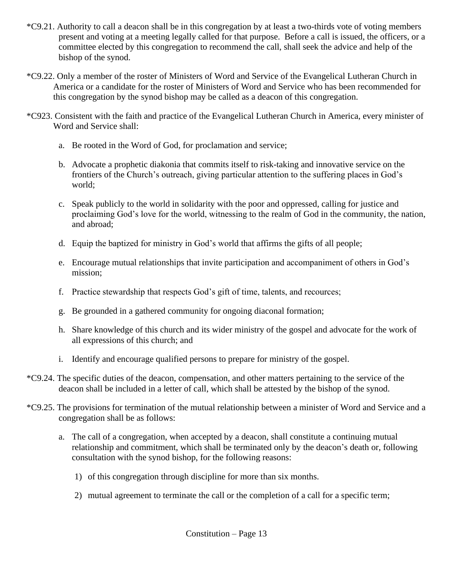- \*C9.21. Authority to call a deacon shall be in this congregation by at least a two-thirds vote of voting members present and voting at a meeting legally called for that purpose. Before a call is issued, the officers, or a committee elected by this congregation to recommend the call, shall seek the advice and help of the bishop of the synod.
- \*C9.22. Only a member of the roster of Ministers of Word and Service of the Evangelical Lutheran Church in America or a candidate for the roster of Ministers of Word and Service who has been recommended for this congregation by the synod bishop may be called as a deacon of this congregation.
- \*C923. Consistent with the faith and practice of the Evangelical Lutheran Church in America, every minister of Word and Service shall:
	- a. Be rooted in the Word of God, for proclamation and service;
	- b. Advocate a prophetic diakonia that commits itself to risk-taking and innovative service on the frontiers of the Church's outreach, giving particular attention to the suffering places in God's world;
	- c. Speak publicly to the world in solidarity with the poor and oppressed, calling for justice and proclaiming God's love for the world, witnessing to the realm of God in the community, the nation, and abroad;
	- d. Equip the baptized for ministry in God's world that affirms the gifts of all people;
	- e. Encourage mutual relationships that invite participation and accompaniment of others in God's mission;
	- f. Practice stewardship that respects God's gift of time, talents, and recources;
	- g. Be grounded in a gathered community for ongoing diaconal formation;
	- h. Share knowledge of this church and its wider ministry of the gospel and advocate for the work of all expressions of this church; and
	- i. Identify and encourage qualified persons to prepare for ministry of the gospel.
- \*C9.24. The specific duties of the deacon, compensation, and other matters pertaining to the service of the deacon shall be included in a letter of call, which shall be attested by the bishop of the synod.
- \*C9.25. The provisions for termination of the mutual relationship between a minister of Word and Service and a congregation shall be as follows:
	- a. The call of a congregation, when accepted by a deacon, shall constitute a continuing mutual relationship and commitment, which shall be terminated only by the deacon's death or, following consultation with the synod bishop, for the following reasons:
		- 1) of this congregation through discipline for more than six months.
		- 2) mutual agreement to terminate the call or the completion of a call for a specific term;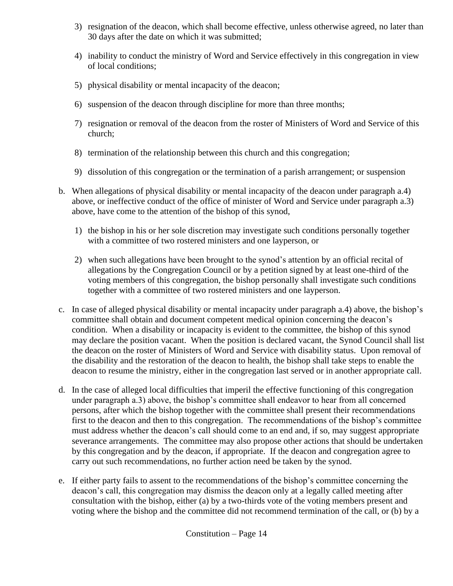- 3) resignation of the deacon, which shall become effective, unless otherwise agreed, no later than 30 days after the date on which it was submitted;
- 4) inability to conduct the ministry of Word and Service effectively in this congregation in view of local conditions;
- 5) physical disability or mental incapacity of the deacon;
- 6) suspension of the deacon through discipline for more than three months;
- 7) resignation or removal of the deacon from the roster of Ministers of Word and Service of this church;
- 8) termination of the relationship between this church and this congregation;
- 9) dissolution of this congregation or the termination of a parish arrangement; or suspension
- b. When allegations of physical disability or mental incapacity of the deacon under paragraph a.4) above, or ineffective conduct of the office of minister of Word and Service under paragraph a.3) above, have come to the attention of the bishop of this synod,
	- 1) the bishop in his or her sole discretion may investigate such conditions personally together with a committee of two rostered ministers and one layperson, or
	- 2) when such allegations have been brought to the synod's attention by an official recital of allegations by the Congregation Council or by a petition signed by at least one-third of the voting members of this congregation, the bishop personally shall investigate such conditions together with a committee of two rostered ministers and one layperson.
- c. In case of alleged physical disability or mental incapacity under paragraph a.4) above, the bishop's committee shall obtain and document competent medical opinion concerning the deacon's condition. When a disability or incapacity is evident to the committee, the bishop of this synod may declare the position vacant. When the position is declared vacant, the Synod Council shall list the deacon on the roster of Ministers of Word and Service with disability status. Upon removal of the disability and the restoration of the deacon to health, the bishop shall take steps to enable the deacon to resume the ministry, either in the congregation last served or in another appropriate call.
- d. In the case of alleged local difficulties that imperil the effective functioning of this congregation under paragraph a.3) above, the bishop's committee shall endeavor to hear from all concerned persons, after which the bishop together with the committee shall present their recommendations first to the deacon and then to this congregation. The recommendations of the bishop's committee must address whether the deacon's call should come to an end and, if so, may suggest appropriate severance arrangements. The committee may also propose other actions that should be undertaken by this congregation and by the deacon, if appropriate. If the deacon and congregation agree to carry out such recommendations, no further action need be taken by the synod.
- e. If either party fails to assent to the recommendations of the bishop's committee concerning the deacon's call, this congregation may dismiss the deacon only at a legally called meeting after consultation with the bishop, either (a) by a two-thirds vote of the voting members present and voting where the bishop and the committee did not recommend termination of the call, or (b) by a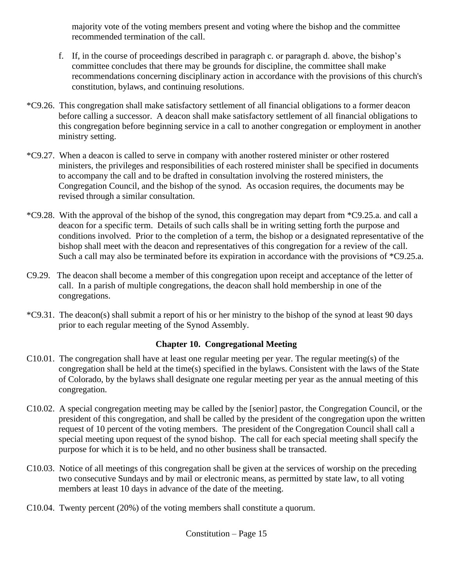majority vote of the voting members present and voting where the bishop and the committee recommended termination of the call.

- f. If, in the course of proceedings described in paragraph c. or paragraph d. above, the bishop's committee concludes that there may be grounds for discipline, the committee shall make recommendations concerning disciplinary action in accordance with the provisions of this church's constitution, bylaws, and continuing resolutions.
- \*C9.26. This congregation shall make satisfactory settlement of all financial obligations to a former deacon before calling a successor. A deacon shall make satisfactory settlement of all financial obligations to this congregation before beginning service in a call to another congregation or employment in another ministry setting.
- \*C9.27. When a deacon is called to serve in company with another rostered minister or other rostered ministers, the privileges and responsibilities of each rostered minister shall be specified in documents to accompany the call and to be drafted in consultation involving the rostered ministers, the Congregation Council, and the bishop of the synod. As occasion requires, the documents may be revised through a similar consultation.
- \*C9.28. With the approval of the bishop of the synod, this congregation may depart from \*C9.25.a. and call a deacon for a specific term. Details of such calls shall be in writing setting forth the purpose and conditions involved. Prior to the completion of a term, the bishop or a designated representative of the bishop shall meet with the deacon and representatives of this congregation for a review of the call. Such a call may also be terminated before its expiration in accordance with the provisions of \*C9.25.a.
- C9.29. The deacon shall become a member of this congregation upon receipt and acceptance of the letter of call. In a parish of multiple congregations, the deacon shall hold membership in one of the congregations.
- \*C9.31. The deacon(s) shall submit a report of his or her ministry to the bishop of the synod at least 90 days prior to each regular meeting of the Synod Assembly.

#### **Chapter 10. Congregational Meeting**

- C10.01. The congregation shall have at least one regular meeting per year. The regular meeting(s) of the congregation shall be held at the time(s) specified in the bylaws. Consistent with the laws of the State of Colorado, by the bylaws shall designate one regular meeting per year as the annual meeting of this congregation.
- C10.02. A special congregation meeting may be called by the [senior] pastor, the Congregation Council, or the president of this congregation, and shall be called by the president of the congregation upon the written request of 10 percent of the voting members. The president of the Congregation Council shall call a special meeting upon request of the synod bishop. The call for each special meeting shall specify the purpose for which it is to be held, and no other business shall be transacted.
- C10.03. Notice of all meetings of this congregation shall be given at the services of worship on the preceding two consecutive Sundays and by mail or electronic means, as permitted by state law, to all voting members at least 10 days in advance of the date of the meeting.
- C10.04. Twenty percent (20%) of the voting members shall constitute a quorum.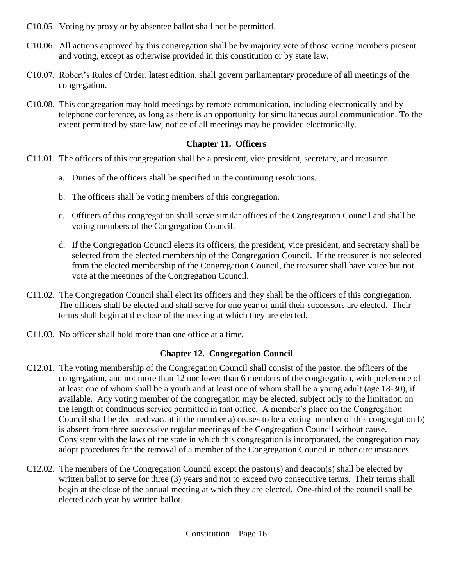- C10.05. Voting by proxy or by absentee ballot shall not be permitted.
- C10.06. All actions approved by this congregation shall be by majority vote of those voting members present and voting, except as otherwise provided in this constitution or by state law.
- C10.07. Robert's Rules of Order, latest edition, shall govern parliamentary procedure of all meetings of the congregation.
- C10.08. This congregation may hold meetings by remote communication, including electronically and by telephone conference, as long as there is an opportunity for simultaneous aural communication. To the extent permitted by state law, notice of all meetings may be provided electronically.

#### **Chapter 11. Officers**

- C11.01. The officers of this congregation shall be a president, vice president, secretary, and treasurer.
	- a. Duties of the officers shall be specified in the continuing resolutions.
	- b. The officers shall be voting members of this congregation.
	- c. Officers of this congregation shall serve similar offices of the Congregation Council and shall be voting members of the Congregation Council.
	- d. If the Congregation Council elects its officers, the president, vice president, and secretary shall be selected from the elected membership of the Congregation Council. If the treasurer is not selected from the elected membership of the Congregation Council, the treasurer shall have voice but not vote at the meetings of the Congregation Council.
- C11.02. The Congregation Council shall elect its officers and they shall be the officers of this congregation. The officers shall be elected and shall serve for one year or until their successors are elected. Their terms shall begin at the close of the meeting at which they are elected.
- C11.03. No officer shall hold more than one office at a time.

#### **Chapter 12. Congregation Council**

- C12.01. The voting membership of the Congregation Council shall consist of the pastor, the officers of the congregation, and not more than 12 nor fewer than 6 members of the congregation, with preference of at least one of whom shall be a youth and at least one of whom shall be a young adult (age 18-30), if available. Any voting member of the congregation may be elected, subject only to the limitation on the length of continuous service permitted in that office. A member's place on the Congregation Council shall be declared vacant if the member a) ceases to be a voting member of this congregation b) is absent from three successive regular meetings of the Congregation Council without cause. Consistent with the laws of the state in which this congregation is incorporated, the congregation may adopt procedures for the removal of a member of the Congregation Council in other circumstances.
- C12.02. The members of the Congregation Council except the pastor(s) and deacon(s) shall be elected by written ballot to serve for three (3) years and not to exceed two consecutive terms. Their terms shall begin at the close of the annual meeting at which they are elected. One-third of the council shall be elected each year by written ballot.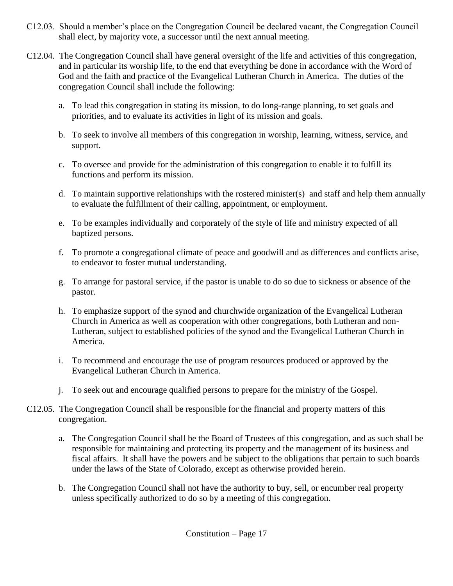- C12.03. Should a member's place on the Congregation Council be declared vacant, the Congregation Council shall elect, by majority vote, a successor until the next annual meeting.
- C12.04. The Congregation Council shall have general oversight of the life and activities of this congregation, and in particular its worship life, to the end that everything be done in accordance with the Word of God and the faith and practice of the Evangelical Lutheran Church in America. The duties of the congregation Council shall include the following:
	- a. To lead this congregation in stating its mission, to do long-range planning, to set goals and priorities, and to evaluate its activities in light of its mission and goals.
	- b. To seek to involve all members of this congregation in worship, learning, witness, service, and support.
	- c. To oversee and provide for the administration of this congregation to enable it to fulfill its functions and perform its mission.
	- d. To maintain supportive relationships with the rostered minister(s) and staff and help them annually to evaluate the fulfillment of their calling, appointment, or employment.
	- e. To be examples individually and corporately of the style of life and ministry expected of all baptized persons.
	- f. To promote a congregational climate of peace and goodwill and as differences and conflicts arise, to endeavor to foster mutual understanding.
	- g. To arrange for pastoral service, if the pastor is unable to do so due to sickness or absence of the pastor.
	- h. To emphasize support of the synod and churchwide organization of the Evangelical Lutheran Church in America as well as cooperation with other congregations, both Lutheran and non-Lutheran, subject to established policies of the synod and the Evangelical Lutheran Church in America.
	- i. To recommend and encourage the use of program resources produced or approved by the Evangelical Lutheran Church in America.
	- j. To seek out and encourage qualified persons to prepare for the ministry of the Gospel.
- C12.05. The Congregation Council shall be responsible for the financial and property matters of this congregation.
	- a. The Congregation Council shall be the Board of Trustees of this congregation, and as such shall be responsible for maintaining and protecting its property and the management of its business and fiscal affairs. It shall have the powers and be subject to the obligations that pertain to such boards under the laws of the State of Colorado, except as otherwise provided herein.
	- b. The Congregation Council shall not have the authority to buy, sell, or encumber real property unless specifically authorized to do so by a meeting of this congregation.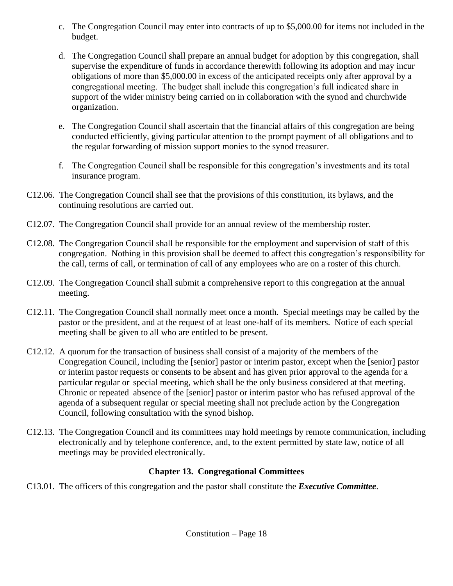- c. The Congregation Council may enter into contracts of up to \$5,000.00 for items not included in the budget.
- d. The Congregation Council shall prepare an annual budget for adoption by this congregation, shall supervise the expenditure of funds in accordance therewith following its adoption and may incur obligations of more than \$5,000.00 in excess of the anticipated receipts only after approval by a congregational meeting. The budget shall include this congregation's full indicated share in support of the wider ministry being carried on in collaboration with the synod and churchwide organization.
- e. The Congregation Council shall ascertain that the financial affairs of this congregation are being conducted efficiently, giving particular attention to the prompt payment of all obligations and to the regular forwarding of mission support monies to the synod treasurer.
- f. The Congregation Council shall be responsible for this congregation's investments and its total insurance program.
- C12.06. The Congregation Council shall see that the provisions of this constitution, its bylaws, and the continuing resolutions are carried out.
- C12.07. The Congregation Council shall provide for an annual review of the membership roster.
- C12.08. The Congregation Council shall be responsible for the employment and supervision of staff of this congregation. Nothing in this provision shall be deemed to affect this congregation's responsibility for the call, terms of call, or termination of call of any employees who are on a roster of this church.
- C12.09. The Congregation Council shall submit a comprehensive report to this congregation at the annual meeting.
- C12.11. The Congregation Council shall normally meet once a month. Special meetings may be called by the pastor or the president, and at the request of at least one-half of its members. Notice of each special meeting shall be given to all who are entitled to be present.
- C12.12. A quorum for the transaction of business shall consist of a majority of the members of the Congregation Council, including the [senior] pastor or interim pastor, except when the [senior] pastor or interim pastor requests or consents to be absent and has given prior approval to the agenda for a particular regular or special meeting, which shall be the only business considered at that meeting. Chronic or repeated absence of the [senior] pastor or interim pastor who has refused approval of the agenda of a subsequent regular or special meeting shall not preclude action by the Congregation Council, following consultation with the synod bishop.
- C12.13. The Congregation Council and its committees may hold meetings by remote communication, including electronically and by telephone conference, and, to the extent permitted by state law, notice of all meetings may be provided electronically.

### **Chapter 13. Congregational Committees**

C13.01. The officers of this congregation and the pastor shall constitute the *Executive Committee*.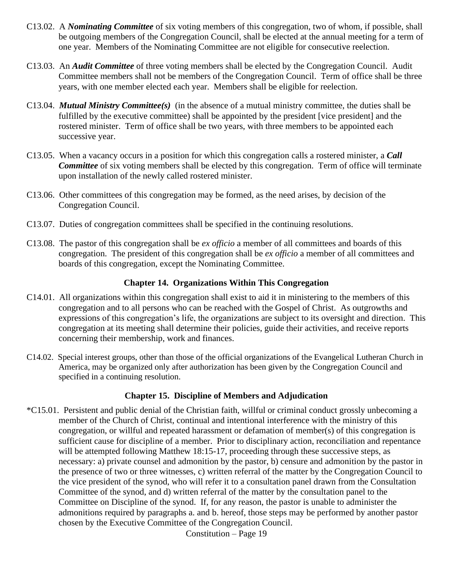- C13.02. A *Nominating Committee* of six voting members of this congregation, two of whom, if possible, shall be outgoing members of the Congregation Council, shall be elected at the annual meeting for a term of one year. Members of the Nominating Committee are not eligible for consecutive reelection.
- C13.03. An *Audit Committee* of three voting members shall be elected by the Congregation Council. Audit Committee members shall not be members of the Congregation Council. Term of office shall be three years, with one member elected each year. Members shall be eligible for reelection.
- C13.04. *Mutual Ministry Committee(s)* (in the absence of a mutual ministry committee, the duties shall be fulfilled by the executive committee) shall be appointed by the president [vice president] and the rostered minister. Term of office shall be two years, with three members to be appointed each successive year.
- C13.05. When a vacancy occurs in a position for which this congregation calls a rostered minister, a *Call Committee* of six voting members shall be elected by this congregation. Term of office will terminate upon installation of the newly called rostered minister.
- C13.06. Other committees of this congregation may be formed, as the need arises, by decision of the Congregation Council.
- C13.07. Duties of congregation committees shall be specified in the continuing resolutions.
- C13.08. The pastor of this congregation shall be *ex officio* a member of all committees and boards of this congregation. The president of this congregation shall be *ex officio* a member of all committees and boards of this congregation, except the Nominating Committee.

#### **Chapter 14. Organizations Within This Congregation**

- C14.01. All organizations within this congregation shall exist to aid it in ministering to the members of this congregation and to all persons who can be reached with the Gospel of Christ. As outgrowths and expressions of this congregation's life, the organizations are subject to its oversight and direction. This congregation at its meeting shall determine their policies, guide their activities, and receive reports concerning their membership, work and finances.
- C14.02. Special interest groups, other than those of the official organizations of the Evangelical Lutheran Church in America, may be organized only after authorization has been given by the Congregation Council and specified in a continuing resolution.

#### **Chapter 15. Discipline of Members and Adjudication**

\*C15.01. Persistent and public denial of the Christian faith, willful or criminal conduct grossly unbecoming a member of the Church of Christ, continual and intentional interference with the ministry of this congregation, or willful and repeated harassment or defamation of member(s) of this congregation is sufficient cause for discipline of a member. Prior to disciplinary action, reconciliation and repentance will be attempted following Matthew 18:15-17, proceeding through these successive steps, as necessary: a) private counsel and admonition by the pastor, b) censure and admonition by the pastor in the presence of two or three witnesses, c) written referral of the matter by the Congregation Council to the vice president of the synod, who will refer it to a consultation panel drawn from the Consultation Committee of the synod, and d) written referral of the matter by the consultation panel to the Committee on Discipline of the synod. If, for any reason, the pastor is unable to administer the admonitions required by paragraphs a. and b. hereof, those steps may be performed by another pastor chosen by the Executive Committee of the Congregation Council.

Constitution – Page 19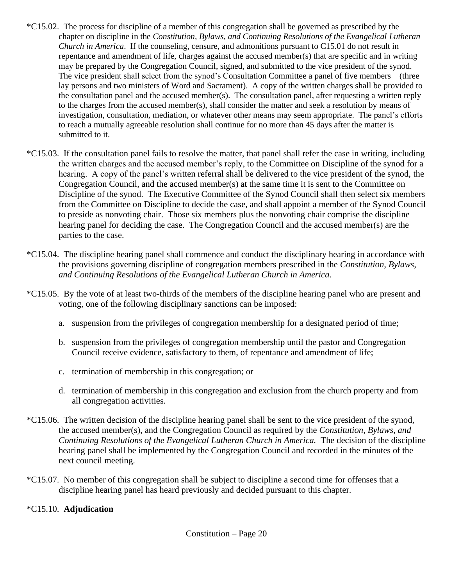- $*C15.02$ . The process for discipline of a member of this congregation shall be governed as prescribed by the chapter on discipline in the *Constitution, Bylaws, and Continuing Resolutions of the Evangelical Lutheran Church in America*. If the counseling, censure, and admonitions pursuant to C15.01 do not result in repentance and amendment of life, charges against the accused member(s) that are specific and in writing may be prepared by the Congregation Council, signed, and submitted to the vice president of the synod. The vice president shall select from the synod's Consultation Committee a panel of five members (three lay persons and two ministers of Word and Sacrament). A copy of the written charges shall be provided to the consultation panel and the accused member(s). The consultation panel, after requesting a written reply to the charges from the accused member(s), shall consider the matter and seek a resolution by means of investigation, consultation, mediation, or whatever other means may seem appropriate. The panel's efforts to reach a mutually agreeable resolution shall continue for no more than 45 days after the matter is submitted to it.
- \*C15.03. If the consultation panel fails to resolve the matter, that panel shall refer the case in writing, including the written charges and the accused member's reply, to the Committee on Discipline of the synod for a hearing. A copy of the panel's written referral shall be delivered to the vice president of the synod, the Congregation Council, and the accused member(s) at the same time it is sent to the Committee on Discipline of the synod. The Executive Committee of the Synod Council shall then select six members from the Committee on Discipline to decide the case, and shall appoint a member of the Synod Council to preside as nonvoting chair. Those six members plus the nonvoting chair comprise the discipline hearing panel for deciding the case. The Congregation Council and the accused member(s) are the parties to the case.
- \*C15.04. The discipline hearing panel shall commence and conduct the disciplinary hearing in accordance with the provisions governing discipline of congregation members prescribed in the *Constitution, Bylaws, and Continuing Resolutions of the Evangelical Lutheran Church in America.*
- \*C15.05. By the vote of at least two-thirds of the members of the discipline hearing panel who are present and voting, one of the following disciplinary sanctions can be imposed:
	- a. suspension from the privileges of congregation membership for a designated period of time;
	- b. suspension from the privileges of congregation membership until the pastor and Congregation Council receive evidence, satisfactory to them, of repentance and amendment of life;
	- c. termination of membership in this congregation; or
	- d. termination of membership in this congregation and exclusion from the church property and from all congregation activities.
- \*C15.06. The written decision of the discipline hearing panel shall be sent to the vice president of the synod, the accused member(s), and the Congregation Council as required by the *Constitution, Bylaws, and Continuing Resolutions of the Evangelical Lutheran Church in America.* The decision of the discipline hearing panel shall be implemented by the Congregation Council and recorded in the minutes of the next council meeting.
- \*C15.07. No member of this congregation shall be subject to discipline a second time for offenses that a discipline hearing panel has heard previously and decided pursuant to this chapter.

#### \*C15.10. **Adjudication**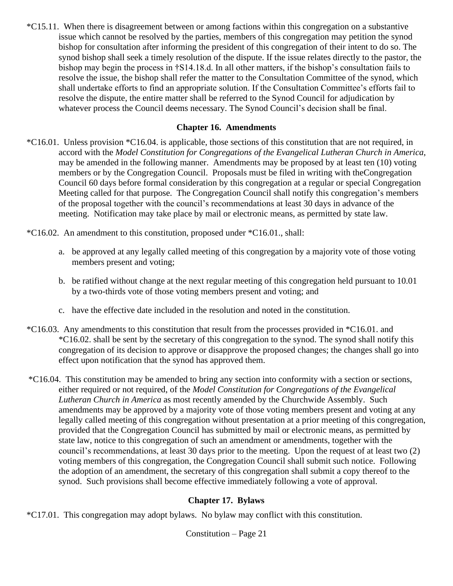\*C15.11. When there is disagreement between or among factions within this congregation on a substantive issue which cannot be resolved by the parties, members of this congregation may petition the synod bishop for consultation after informing the president of this congregation of their intent to do so. The synod bishop shall seek a timely resolution of the dispute. If the issue relates directly to the pastor, the bishop may begin the process in †S14.18.d. In all other matters, if the bishop's consultation fails to resolve the issue, the bishop shall refer the matter to the Consultation Committee of the synod, which shall undertake efforts to find an appropriate solution. If the Consultation Committee's efforts fail to resolve the dispute, the entire matter shall be referred to the Synod Council for adjudication by whatever process the Council deems necessary. The Synod Council's decision shall be final.

#### **Chapter 16. Amendments**

\*C16.01. Unless provision \*C16.04. is applicable, those sections of this constitution that are not required, in accord with the *Model Constitution for Congregations of the Evangelical Lutheran Church in America*, may be amended in the following manner. Amendments may be proposed by at least ten (10) voting members or by the Congregation Council. Proposals must be filed in writing with theCongregation Council 60 days before formal consideration by this congregation at a regular or special Congregation Meeting called for that purpose. The Congregation Council shall notify this congregation's members of the proposal together with the council's recommendations at least 30 days in advance of the meeting. Notification may take place by mail or electronic means, as permitted by state law.

\*C16.02. An amendment to this constitution, proposed under \*C16.01., shall:

- a. be approved at any legally called meeting of this congregation by a majority vote of those voting members present and voting;
- b. be ratified without change at the next regular meeting of this congregation held pursuant to 10.01 by a two-thirds vote of those voting members present and voting; and
- c. have the effective date included in the resolution and noted in the constitution.
- \*C16.03. Any amendments to this constitution that result from the processes provided in \*C16.01. and \*C16.02. shall be sent by the secretary of this congregation to the synod. The synod shall notify this congregation of its decision to approve or disapprove the proposed changes; the changes shall go into effect upon notification that the synod has approved them.
- \*C16.04. This constitution may be amended to bring any section into conformity with a section or sections, either required or not required, of the *Model Constitution for Congregations of the Evangelical Lutheran Church in America* as most recently amended by the Churchwide Assembly. Such amendments may be approved by a majority vote of those voting members present and voting at any legally called meeting of this congregation without presentation at a prior meeting of this congregation, provided that the Congregation Council has submitted by mail or electronic means, as permitted by state law, notice to this congregation of such an amendment or amendments, together with the council's recommendations, at least 30 days prior to the meeting. Upon the request of at least two (2) voting members of this congregation, the Congregation Council shall submit such notice. Following the adoption of an amendment, the secretary of this congregation shall submit a copy thereof to the synod. Such provisions shall become effective immediately following a vote of approval.

#### **Chapter 17. Bylaws**

\*C17.01. This congregation may adopt bylaws. No bylaw may conflict with this constitution.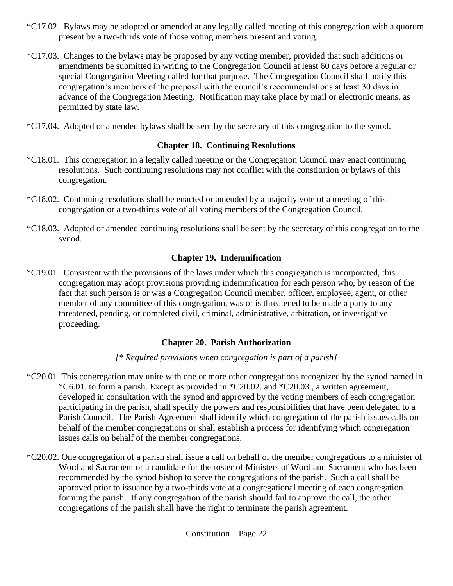- \*C17.02. Bylaws may be adopted or amended at any legally called meeting of this congregation with a quorum present by a two-thirds vote of those voting members present and voting.
- \*C17.03. Changes to the bylaws may be proposed by any voting member, provided that such additions or amendments be submitted in writing to the Congregation Council at least 60 days before a regular or special Congregation Meeting called for that purpose. The Congregation Council shall notify this congregation's members of the proposal with the council's recommendations at least 30 days in advance of the Congregation Meeting. Notification may take place by mail or electronic means, as permitted by state law.
- \*C17.04. Adopted or amended bylaws shall be sent by the secretary of this congregation to the synod.

#### **Chapter 18. Continuing Resolutions**

- \*C18.01. This congregation in a legally called meeting or the Congregation Council may enact continuing resolutions. Such continuing resolutions may not conflict with the constitution or bylaws of this congregation.
- \*C18.02. Continuing resolutions shall be enacted or amended by a majority vote of a meeting of this congregation or a two-thirds vote of all voting members of the Congregation Council.
- \*C18.03. Adopted or amended continuing resolutions shall be sent by the secretary of this congregation to the synod.

#### **Chapter 19. Indemnification**

\*C19.01. Consistent with the provisions of the laws under which this congregation is incorporated, this congregation may adopt provisions providing indemnification for each person who, by reason of the fact that such person is or was a Congregation Council member, officer, employee, agent, or other member of any committee of this congregation, was or is threatened to be made a party to any threatened, pending, or completed civil, criminal, administrative, arbitration, or investigative proceeding.

#### **Chapter 20. Parish Authorization**

#### *[\* Required provisions when congregation is part of a parish]*

- \*C20.01. This congregation may unite with one or more other congregations recognized by the synod named in \*C6.01. to form a parish. Except as provided in \*C20.02. and \*C20.03., a written agreement, developed in consultation with the synod and approved by the voting members of each congregation participating in the parish, shall specify the powers and responsibilities that have been delegated to a Parish Council. The Parish Agreement shall identify which congregation of the parish issues calls on behalf of the member congregations or shall establish a process for identifying which congregation issues calls on behalf of the member congregations.
- \*C20.02. One congregation of a parish shall issue a call on behalf of the member congregations to a minister of Word and Sacrament or a candidate for the roster of Ministers of Word and Sacrament who has been recommended by the synod bishop to serve the congregations of the parish. Such a call shall be approved prior to issuance by a two-thirds vote at a congregational meeting of each congregation forming the parish. If any congregation of the parish should fail to approve the call, the other congregations of the parish shall have the right to terminate the parish agreement.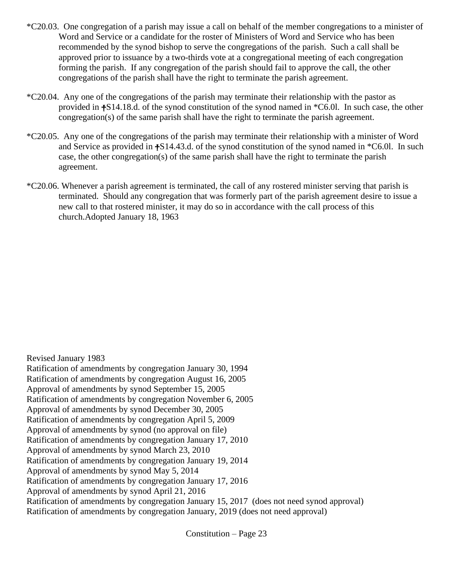- \*C20.03. One congregation of a parish may issue a call on behalf of the member congregations to a minister of Word and Service or a candidate for the roster of Ministers of Word and Service who has been recommended by the synod bishop to serve the congregations of the parish. Such a call shall be approved prior to issuance by a two-thirds vote at a congregational meeting of each congregation forming the parish. If any congregation of the parish should fail to approve the call, the other congregations of the parish shall have the right to terminate the parish agreement.
- \*C20.04. Any one of the congregations of the parish may terminate their relationship with the pastor as provided in †S14.18.d. of the synod constitution of the synod named in \*C6.0l. In such case, the other congregation(s) of the same parish shall have the right to terminate the parish agreement.
- \*C20.05. Any one of the congregations of the parish may terminate their relationship with a minister of Word and Service as provided in †S14.43.d. of the synod constitution of the synod named in \*C6.0l. In such case, the other congregation(s) of the same parish shall have the right to terminate the parish agreement.
- \*C20.06. Whenever a parish agreement is terminated, the call of any rostered minister serving that parish is terminated. Should any congregation that was formerly part of the parish agreement desire to issue a new call to that rostered minister, it may do so in accordance with the call process of this church.Adopted January 18, 1963

Revised January 1983

Ratification of amendments by congregation January 30, 1994

Ratification of amendments by congregation August 16, 2005

Approval of amendments by synod September 15, 2005

Ratification of amendments by congregation November 6, 2005

Approval of amendments by synod December 30, 2005

Ratification of amendments by congregation April 5, 2009

Approval of amendments by synod (no approval on file)

Ratification of amendments by congregation January 17, 2010

Approval of amendments by synod March 23, 2010

Ratification of amendments by congregation January 19, 2014

Approval of amendments by synod May 5, 2014

Ratification of amendments by congregation January 17, 2016

Approval of amendments by synod April 21, 2016

Ratification of amendments by congregation January 15, 2017 (does not need synod approval) Ratification of amendments by congregation January, 2019 (does not need approval)

Constitution – Page 23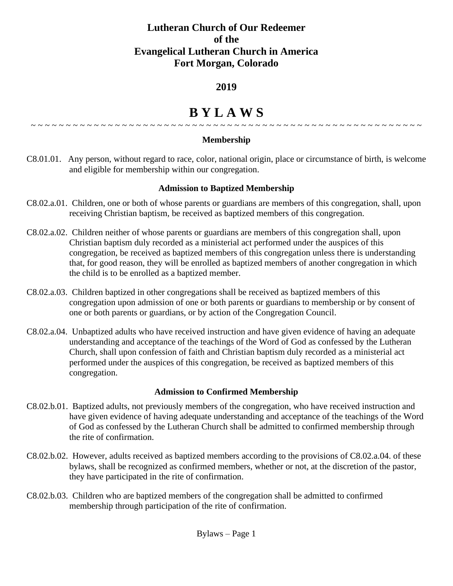### **Lutheran Church of Our Redeemer of the Evangelical Lutheran Church in America Fort Morgan, Colorado**

### **2019**

#### **B Y L A W S** ~ ~ ~ ~ ~ ~ ~ ~ ~ ~ ~ ~ ~ ~ ~ ~ ~ ~ ~ ~ ~ ~ ~ ~ ~ ~ ~ ~ ~ ~ ~ ~ ~ ~ ~ ~ ~ ~ ~ ~ ~ ~ ~ ~ ~ ~ ~ ~ ~ ~ ~ ~ ~ ~ ~ ~

#### **Membership**

C8.01.01. Any person, without regard to race, color, national origin, place or circumstance of birth, is welcome and eligible for membership within our congregation.

#### **Admission to Baptized Membership**

- C8.02.a.01. Children, one or both of whose parents or guardians are members of this congregation, shall, upon receiving Christian baptism, be received as baptized members of this congregation.
- C8.02.a.02. Children neither of whose parents or guardians are members of this congregation shall, upon Christian baptism duly recorded as a ministerial act performed under the auspices of this congregation, be received as baptized members of this congregation unless there is understanding that, for good reason, they will be enrolled as baptized members of another congregation in which the child is to be enrolled as a baptized member.
- C8.02.a.03. Children baptized in other congregations shall be received as baptized members of this congregation upon admission of one or both parents or guardians to membership or by consent of one or both parents or guardians, or by action of the Congregation Council.
- C8.02.a.04. Unbaptized adults who have received instruction and have given evidence of having an adequate understanding and acceptance of the teachings of the Word of God as confessed by the Lutheran Church, shall upon confession of faith and Christian baptism duly recorded as a ministerial act performed under the auspices of this congregation, be received as baptized members of this congregation.

#### **Admission to Confirmed Membership**

- C8.02.b.01. Baptized adults, not previously members of the congregation, who have received instruction and have given evidence of having adequate understanding and acceptance of the teachings of the Word of God as confessed by the Lutheran Church shall be admitted to confirmed membership through the rite of confirmation.
- C8.02.b.02. However, adults received as baptized members according to the provisions of C8.02.a.04. of these bylaws, shall be recognized as confirmed members, whether or not, at the discretion of the pastor, they have participated in the rite of confirmation.
- C8.02.b.03. Children who are baptized members of the congregation shall be admitted to confirmed membership through participation of the rite of confirmation.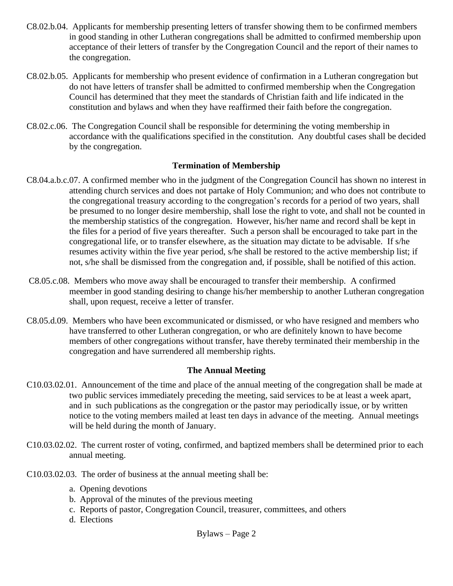- C8.02.b.04. Applicants for membership presenting letters of transfer showing them to be confirmed members in good standing in other Lutheran congregations shall be admitted to confirmed membership upon acceptance of their letters of transfer by the Congregation Council and the report of their names to the congregation.
- C8.02.b.05. Applicants for membership who present evidence of confirmation in a Lutheran congregation but do not have letters of transfer shall be admitted to confirmed membership when the Congregation Council has determined that they meet the standards of Christian faith and life indicated in the constitution and bylaws and when they have reaffirmed their faith before the congregation.
- C8.02.c.06. The Congregation Council shall be responsible for determining the voting membership in accordance with the qualifications specified in the constitution. Any doubtful cases shall be decided by the congregation.

#### **Termination of Membership**

- C8.04.a.b.c.07. A confirmed member who in the judgment of the Congregation Council has shown no interest in attending church services and does not partake of Holy Communion; and who does not contribute to the congregational treasury according to the congregation's records for a period of two years, shall be presumed to no longer desire membership, shall lose the right to vote, and shall not be counted in the membership statistics of the congregation. However, his/her name and record shall be kept in the files for a period of five years thereafter. Such a person shall be encouraged to take part in the congregational life, or to transfer elsewhere, as the situation may dictate to be advisable. If s/he resumes activity within the five year period, s/he shall be restored to the active membership list; if not, s/he shall be dismissed from the congregation and, if possible, shall be notified of this action.
- C8.05.c.08. Members who move away shall be encouraged to transfer their membership. A confirmed meember in good standing desiring to change his/her membership to another Lutheran congregation shall, upon request, receive a letter of transfer.
- C8.05.d.09. Members who have been excommunicated or dismissed, or who have resigned and members who have transferred to other Lutheran congregation, or who are definitely known to have become members of other congregations without transfer, have thereby terminated their membership in the congregation and have surrendered all membership rights.

#### **The Annual Meeting**

- C10.03.02.01. Announcement of the time and place of the annual meeting of the congregation shall be made at two public services immediately preceding the meeting, said services to be at least a week apart, and in such publications as the congregation or the pastor may periodically issue, or by written notice to the voting members mailed at least ten days in advance of the meeting. Annual meetings will be held during the month of January.
- C10.03.02.02. The current roster of voting, confirmed, and baptized members shall be determined prior to each annual meeting.
- C10.03.02.03. The order of business at the annual meeting shall be:
	- a. Opening devotions
	- b. Approval of the minutes of the previous meeting
	- c. Reports of pastor, Congregation Council, treasurer, committees, and others
	- d. Elections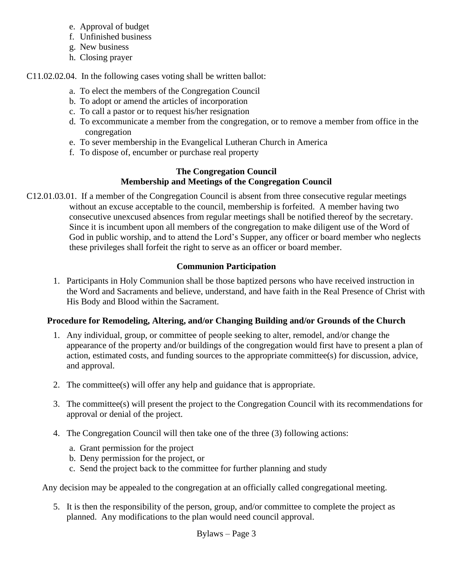- e. Approval of budget
- f. Unfinished business
- g. New business
- h. Closing prayer

C11.02.02.04. In the following cases voting shall be written ballot:

- a. To elect the members of the Congregation Council
- b. To adopt or amend the articles of incorporation
- c. To call a pastor or to request his/her resignation
- d. To excommunicate a member from the congregation, or to remove a member from office in the congregation
- e. To sever membership in the Evangelical Lutheran Church in America
- f. To dispose of, encumber or purchase real property

#### **The Congregation Council Membership and Meetings of the Congregation Council**

C12.01.03.01. If a member of the Congregation Council is absent from three consecutive regular meetings without an excuse acceptable to the council, membership is forfeited. A member having two consecutive unexcused absences from regular meetings shall be notified thereof by the secretary. Since it is incumbent upon all members of the congregation to make diligent use of the Word of God in public worship, and to attend the Lord's Supper, any officer or board member who neglects these privileges shall forfeit the right to serve as an officer or board member.

### **Communion Participation**

1. Participants in Holy Communion shall be those baptized persons who have received instruction in the Word and Sacraments and believe, understand, and have faith in the Real Presence of Christ with His Body and Blood within the Sacrament.

### **Procedure for Remodeling, Altering, and/or Changing Building and/or Grounds of the Church**

- 1. Any individual, group, or committee of people seeking to alter, remodel, and/or change the appearance of the property and/or buildings of the congregation would first have to present a plan of action, estimated costs, and funding sources to the appropriate committee(s) for discussion, advice, and approval.
- 2. The committee(s) will offer any help and guidance that is appropriate.
- 3. The committee(s) will present the project to the Congregation Council with its recommendations for approval or denial of the project.
- 4. The Congregation Council will then take one of the three (3) following actions:
	- a. Grant permission for the project
	- b. Deny permission for the project, or
	- c. Send the project back to the committee for further planning and study

Any decision may be appealed to the congregation at an officially called congregational meeting.

5. It is then the responsibility of the person, group, and/or committee to complete the project as planned. Any modifications to the plan would need council approval.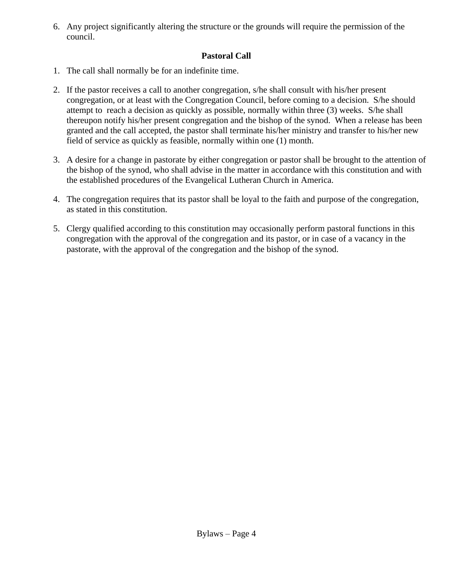6. Any project significantly altering the structure or the grounds will require the permission of the council.

#### **Pastoral Call**

- 1. The call shall normally be for an indefinite time.
- 2. If the pastor receives a call to another congregation, s/he shall consult with his/her present congregation, or at least with the Congregation Council, before coming to a decision. S/he should attempt to reach a decision as quickly as possible, normally within three (3) weeks. S/he shall thereupon notify his/her present congregation and the bishop of the synod. When a release has been granted and the call accepted, the pastor shall terminate his/her ministry and transfer to his/her new field of service as quickly as feasible, normally within one (1) month.
- 3. A desire for a change in pastorate by either congregation or pastor shall be brought to the attention of the bishop of the synod, who shall advise in the matter in accordance with this constitution and with the established procedures of the Evangelical Lutheran Church in America.
- 4. The congregation requires that its pastor shall be loyal to the faith and purpose of the congregation, as stated in this constitution.
- 5. Clergy qualified according to this constitution may occasionally perform pastoral functions in this congregation with the approval of the congregation and its pastor, or in case of a vacancy in the pastorate, with the approval of the congregation and the bishop of the synod.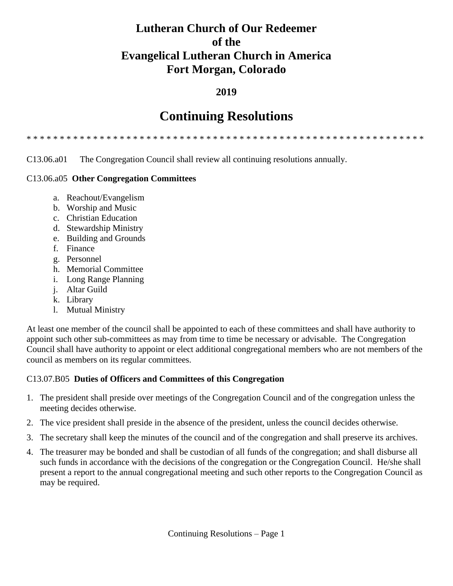### **Lutheran Church of Our Redeemer of the Evangelical Lutheran Church in America Fort Morgan, Colorado**

### **2019**

## **Continuing Resolutions**

\* \* \* \* \* \* \* \* \* \* \* \* \* \* \* \* \* \* \* \* \* \* \* \* \* \* \* \* \* \* \* \* \* \* \* \* \* \* \* \* \* \* \* \* \* \* \* \* \* \* \* \* \* \* \* \* \* \* \* \*

C13.06.a01 The Congregation Council shall review all continuing resolutions annually.

#### C13.06.a05 **Other Congregation Committees**

- a. Reachout/Evangelism
- b. Worship and Music
- c. Christian Education
- d. Stewardship Ministry
- e. Building and Grounds
- f. Finance
- g. Personnel
- h. Memorial Committee
- i. Long Range Planning
- j. Altar Guild
- k. Library
- l. Mutual Ministry

At least one member of the council shall be appointed to each of these committees and shall have authority to appoint such other sub-committees as may from time to time be necessary or advisable. The Congregation Council shall have authority to appoint or elect additional congregational members who are not members of the council as members on its regular committees.

#### C13.07.B05 **Duties of Officers and Committees of this Congregation**

- 1. The president shall preside over meetings of the Congregation Council and of the congregation unless the meeting decides otherwise.
- 2. The vice president shall preside in the absence of the president, unless the council decides otherwise.
- 3. The secretary shall keep the minutes of the council and of the congregation and shall preserve its archives.
- 4. The treasurer may be bonded and shall be custodian of all funds of the congregation; and shall disburse all such funds in accordance with the decisions of the congregation or the Congregation Council. He/she shall present a report to the annual congregational meeting and such other reports to the Congregation Council as may be required.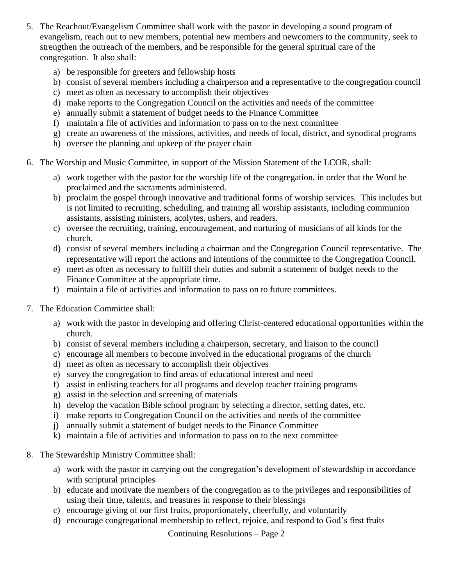- 5. The Reachout/Evangelism Committee shall work with the pastor in developing a sound program of evangelism, reach out to new members, potential new members and newcomers to the community, seek to strengthen the outreach of the members, and be responsible for the general spiritual care of the congregation. It also shall:
	- a) be responsible for greeters and fellowship hosts
	- b) consist of several members including a chairperson and a representative to the congregation council
	- c) meet as often as necessary to accomplish their objectives
	- d) make reports to the Congregation Council on the activities and needs of the committee
	- e) annually submit a statement of budget needs to the Finance Committee
	- f) maintain a file of activities and information to pass on to the next committee
	- g) create an awareness of the missions, activities, and needs of local, district, and synodical programs
	- h) oversee the planning and upkeep of the prayer chain
- 6. The Worship and Music Committee, in support of the Mission Statement of the LCOR, shall:
	- a) work together with the pastor for the worship life of the congregation, in order that the Word be proclaimed and the sacraments administered.
	- b) proclaim the gospel through innovative and traditional forms of worship services. This includes but is not limited to recruiting, scheduling, and training all worship assistants, including communion assistants, assisting ministers, acolytes, ushers, and readers.
	- c) oversee the recruiting, training, encouragement, and nurturing of musicians of all kinds for the church.
	- d) consist of several members including a chairman and the Congregation Council representative. The representative will report the actions and intentions of the committee to the Congregation Council.
	- e) meet as often as necessary to fulfill their duties and submit a statement of budget needs to the Finance Committee at the appropriate time.
	- f) maintain a file of activities and information to pass on to future committees.
- 7. The Education Committee shall:
	- a) work with the pastor in developing and offering Christ-centered educational opportunities within the church.
	- b) consist of several members including a chairperson, secretary, and liaison to the council
	- c) encourage all members to become involved in the educational programs of the church
	- d) meet as often as necessary to accomplish their objectives
	- e) survey the congregation to find areas of educational interest and need
	- f) assist in enlisting teachers for all programs and develop teacher training programs
	- g) assist in the selection and screening of materials
	- h) develop the vacation Bible school program by selecting a director, setting dates, etc.
	- i) make reports to Congregation Council on the activities and needs of the committee
	- j) annually submit a statement of budget needs to the Finance Committee
	- k) maintain a file of activities and information to pass on to the next committee
- 8. The Stewardship Ministry Committee shall:
	- a) work with the pastor in carrying out the congregation's development of stewardship in accordance with scriptural principles
	- b) educate and motivate the members of the congregation as to the privileges and responsibilities of using their time, talents, and treasures in response to their blessings
	- c) encourage giving of our first fruits, proportionately, cheerfully, and voluntarily
	- d) encourage congregational membership to reflect, rejoice, and respond to God's first fruits

Continuing Resolutions – Page 2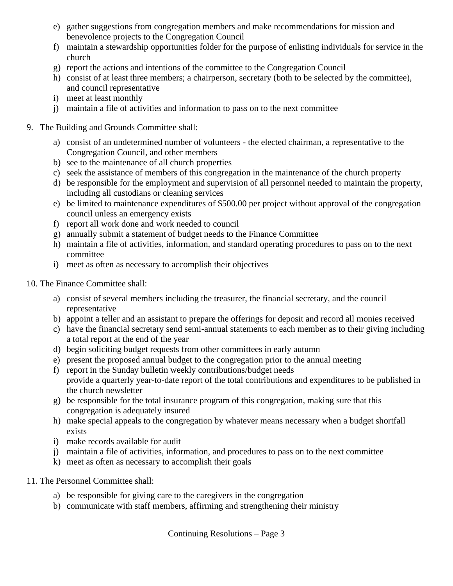- e) gather suggestions from congregation members and make recommendations for mission and benevolence projects to the Congregation Council
- f) maintain a stewardship opportunities folder for the purpose of enlisting individuals for service in the church
- g) report the actions and intentions of the committee to the Congregation Council
- h) consist of at least three members; a chairperson, secretary (both to be selected by the committee), and council representative
- i) meet at least monthly
- j) maintain a file of activities and information to pass on to the next committee
- 9. The Building and Grounds Committee shall:
	- a) consist of an undetermined number of volunteers the elected chairman, a representative to the Congregation Council, and other members
	- b) see to the maintenance of all church properties
	- c) seek the assistance of members of this congregation in the maintenance of the church property
	- d) be responsible for the employment and supervision of all personnel needed to maintain the property, including all custodians or cleaning services
	- e) be limited to maintenance expenditures of \$500.00 per project without approval of the congregation council unless an emergency exists
	- f) report all work done and work needed to council
	- g) annually submit a statement of budget needs to the Finance Committee
	- h) maintain a file of activities, information, and standard operating procedures to pass on to the next committee
	- i) meet as often as necessary to accomplish their objectives
- 10. The Finance Committee shall:
	- a) consist of several members including the treasurer, the financial secretary, and the council representative
	- b) appoint a teller and an assistant to prepare the offerings for deposit and record all monies received
	- c) have the financial secretary send semi-annual statements to each member as to their giving including a total report at the end of the year
	- d) begin soliciting budget requests from other committees in early autumn
	- e) present the proposed annual budget to the congregation prior to the annual meeting
	- f) report in the Sunday bulletin weekly contributions/budget needs provide a quarterly year-to-date report of the total contributions and expenditures to be published in the church newsletter
	- g) be responsible for the total insurance program of this congregation, making sure that this congregation is adequately insured
	- h) make special appeals to the congregation by whatever means necessary when a budget shortfall exists
	- i) make records available for audit
	- j) maintain a file of activities, information, and procedures to pass on to the next committee
	- k) meet as often as necessary to accomplish their goals
- 11. The Personnel Committee shall:
	- a) be responsible for giving care to the caregivers in the congregation
	- b) communicate with staff members, affirming and strengthening their ministry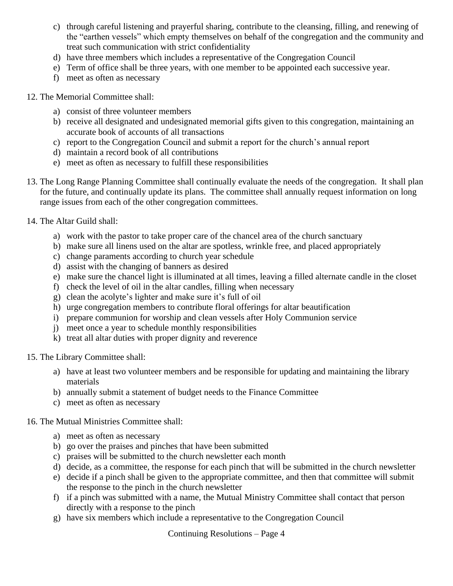- c) through careful listening and prayerful sharing, contribute to the cleansing, filling, and renewing of the "earthen vessels" which empty themselves on behalf of the congregation and the community and treat such communication with strict confidentiality
- d) have three members which includes a representative of the Congregation Council
- e) Term of office shall be three years, with one member to be appointed each successive year.
- f) meet as often as necessary

#### 12. The Memorial Committee shall:

- a) consist of three volunteer members
- b) receive all designated and undesignated memorial gifts given to this congregation, maintaining an accurate book of accounts of all transactions
- c) report to the Congregation Council and submit a report for the church's annual report
- d) maintain a record book of all contributions
- e) meet as often as necessary to fulfill these responsibilities
- 13. The Long Range Planning Committee shall continually evaluate the needs of the congregation. It shall plan for the future, and continually update its plans. The committee shall annually request information on long range issues from each of the other congregation committees.
- 14. The Altar Guild shall:
	- a) work with the pastor to take proper care of the chancel area of the church sanctuary
	- b) make sure all linens used on the altar are spotless, wrinkle free, and placed appropriately
	- c) change paraments according to church year schedule
	- d) assist with the changing of banners as desired
	- e) make sure the chancel light is illuminated at all times, leaving a filled alternate candle in the closet
	- f) check the level of oil in the altar candles, filling when necessary
	- g) clean the acolyte's lighter and make sure it's full of oil
	- h) urge congregation members to contribute floral offerings for altar beautification
	- i) prepare communion for worship and clean vessels after Holy Communion service
	- j) meet once a year to schedule monthly responsibilities
	- k) treat all altar duties with proper dignity and reverence
- 15. The Library Committee shall:
	- a) have at least two volunteer members and be responsible for updating and maintaining the library materials
	- b) annually submit a statement of budget needs to the Finance Committee
	- c) meet as often as necessary

#### 16. The Mutual Ministries Committee shall:

- a) meet as often as necessary
- b) go over the praises and pinches that have been submitted
- c) praises will be submitted to the church newsletter each month
- d) decide, as a committee, the response for each pinch that will be submitted in the church newsletter
- e) decide if a pinch shall be given to the appropriate committee, and then that committee will submit the response to the pinch in the church newsletter
- f) if a pinch was submitted with a name, the Mutual Ministry Committee shall contact that person directly with a response to the pinch
- g) have six members which include a representative to the Congregation Council

Continuing Resolutions – Page 4